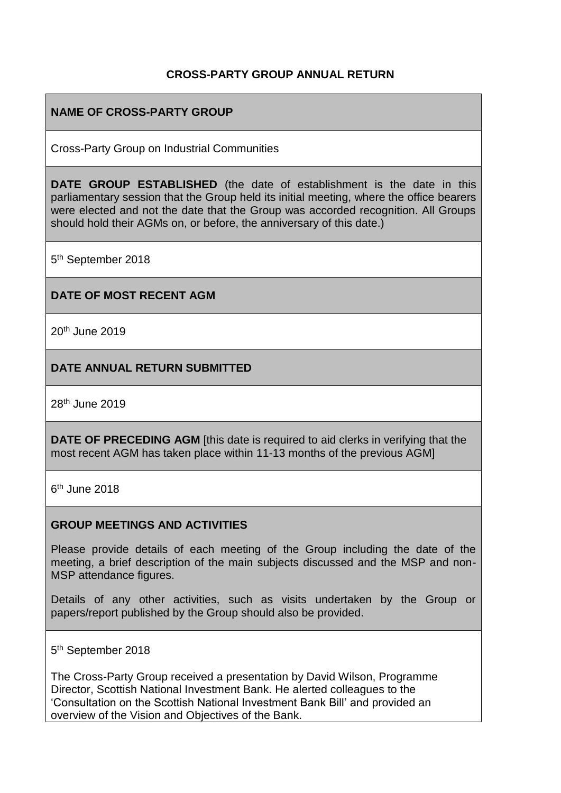## **CROSS-PARTY GROUP ANNUAL RETURN**

## **NAME OF CROSS-PARTY GROUP**

Cross-Party Group on Industrial Communities

**DATE GROUP ESTABLISHED** (the date of establishment is the date in this parliamentary session that the Group held its initial meeting, where the office bearers were elected and not the date that the Group was accorded recognition. All Groups should hold their AGMs on, or before, the anniversary of this date.)

5<sup>th</sup> September 2018

### **DATE OF MOST RECENT AGM**

20th June 2019

### **DATE ANNUAL RETURN SUBMITTED**

28th June 2019

**DATE OF PRECEDING AGM** [this date is required to aid clerks in verifying that the most recent AGM has taken place within 11-13 months of the previous AGM]

6<sup>th</sup> June 2018

### **GROUP MEETINGS AND ACTIVITIES**

Please provide details of each meeting of the Group including the date of the meeting, a brief description of the main subjects discussed and the MSP and non-MSP attendance figures.

Details of any other activities, such as visits undertaken by the Group or papers/report published by the Group should also be provided.

5<sup>th</sup> September 2018

The Cross-Party Group received a presentation by David Wilson, Programme Director, Scottish National Investment Bank. He alerted colleagues to the 'Consultation on the Scottish National Investment Bank Bill' and provided an overview of the Vision and Objectives of the Bank.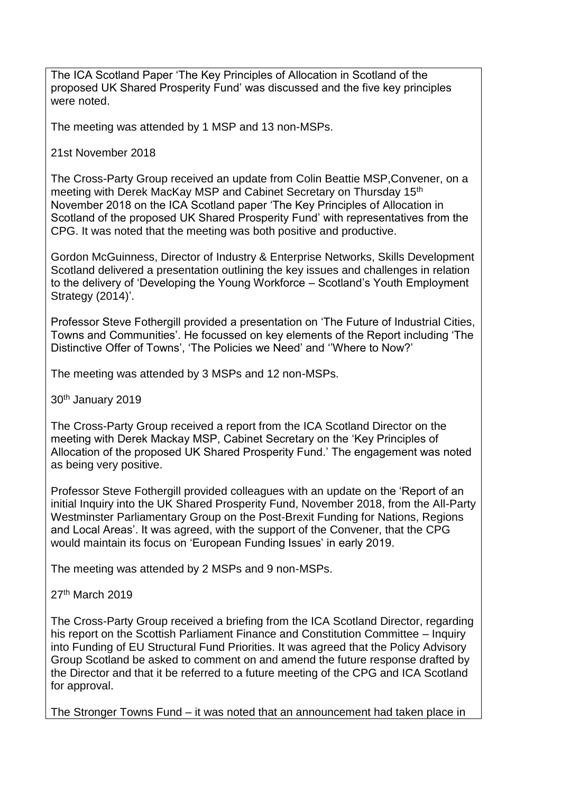The ICA Scotland Paper 'The Key Principles of Allocation in Scotland of the proposed UK Shared Prosperity Fund' was discussed and the five key principles were noted.

The meeting was attended by 1 MSP and 13 non-MSPs.

21st November 2018

The Cross-Party Group received an update from Colin Beattie MSP,Convener, on a meeting with Derek MacKay MSP and Cabinet Secretary on Thursday 15<sup>th</sup> November 2018 on the ICA Scotland paper 'The Key Principles of Allocation in Scotland of the proposed UK Shared Prosperity Fund' with representatives from the CPG. It was noted that the meeting was both positive and productive.

Gordon McGuinness, Director of Industry & Enterprise Networks, Skills Development Scotland delivered a presentation outlining the key issues and challenges in relation to the delivery of 'Developing the Young Workforce – Scotland's Youth Employment Strategy (2014)'.

Professor Steve Fothergill provided a presentation on 'The Future of Industrial Cities, Towns and Communities'. He focussed on key elements of the Report including 'The Distinctive Offer of Towns', 'The Policies we Need' and ''Where to Now?'

The meeting was attended by 3 MSPs and 12 non-MSPs.

30th January 2019

The Cross-Party Group received a report from the ICA Scotland Director on the meeting with Derek Mackay MSP, Cabinet Secretary on the 'Key Principles of Allocation of the proposed UK Shared Prosperity Fund.' The engagement was noted as being very positive.

Professor Steve Fothergill provided colleagues with an update on the 'Report of an initial Inquiry into the UK Shared Prosperity Fund, November 2018, from the All-Party Westminster Parliamentary Group on the Post-Brexit Funding for Nations, Regions and Local Areas'. It was agreed, with the support of the Convener, that the CPG would maintain its focus on 'European Funding Issues' in early 2019.

The meeting was attended by 2 MSPs and 9 non-MSPs.

27th March 2019

The Cross-Party Group received a briefing from the ICA Scotland Director, regarding his report on the Scottish Parliament Finance and Constitution Committee – Inquiry into Funding of EU Structural Fund Priorities. It was agreed that the Policy Advisory Group Scotland be asked to comment on and amend the future response drafted by the Director and that it be referred to a future meeting of the CPG and ICA Scotland for approval.

The Stronger Towns Fund – it was noted that an announcement had taken place in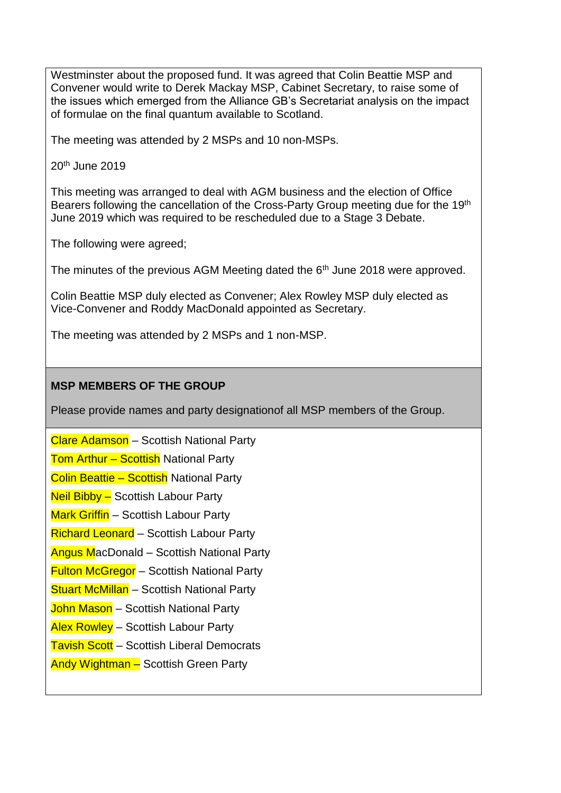Westminster about the proposed fund. It was agreed that Colin Beattie MSP and Convener would write to Derek Mackay MSP, Cabinet Secretary, to raise some of the issues which emerged from the Alliance GB's Secretariat analysis on the impact of formulae on the final quantum available to Scotland.

The meeting was attended by 2 MSPs and 10 non-MSPs.

20th June 2019

This meeting was arranged to deal with AGM business and the election of Office Bearers following the cancellation of the Cross-Party Group meeting due for the 19<sup>th</sup> June 2019 which was required to be rescheduled due to a Stage 3 Debate.

The following were agreed;

The minutes of the previous AGM Meeting dated the  $6<sup>th</sup>$  June 2018 were approved.

Colin Beattie MSP duly elected as Convener; Alex Rowley MSP duly elected as Vice-Convener and Roddy MacDonald appointed as Secretary.

The meeting was attended by 2 MSPs and 1 non-MSP.

## **MSP MEMBERS OF THE GROUP**

Please provide names and party designationof all MSP members of the Group.

Clare Adamson – Scottish National Party Tom Arthur - Scottish National Party Colin Beattie – Scottish National Party Neil Bibby – Scottish Labour Party **Mark Griffin** – Scottish Labour Party Richard Leonard – Scottish Labour Party Angus MacDonald – Scottish National Party **Fulton McGregor** – Scottish National Party **Stuart McMillan** – Scottish National Party John Mason - Scottish National Party Alex Rowley – Scottish Labour Party **Tavish Scott** – Scottish Liberal Democrats Andy Wightman – Scottish Green Party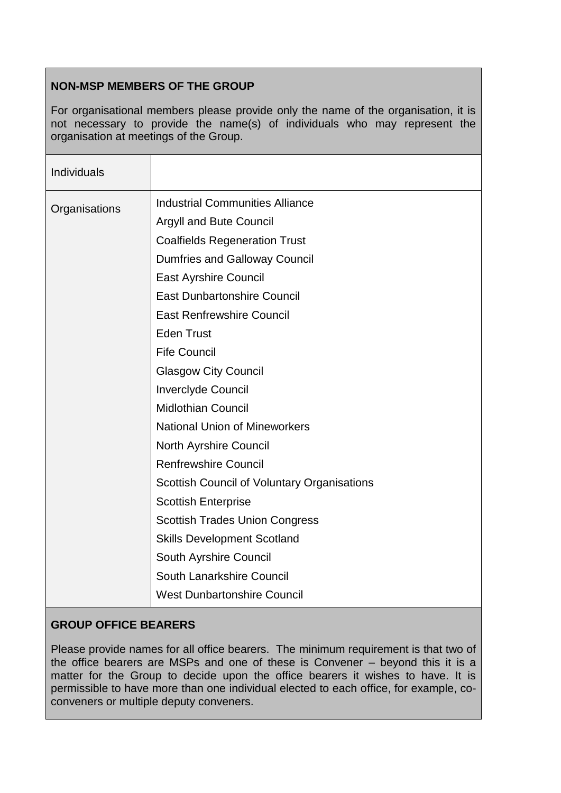# **NON-MSP MEMBERS OF THE GROUP**

For organisational members please provide only the name of the organisation, it is not necessary to provide the name(s) of individuals who may represent the organisation at meetings of the Group.

| <b>Individuals</b> |                                                                                                                                                                                                                                                                                                                                                                                                         |
|--------------------|---------------------------------------------------------------------------------------------------------------------------------------------------------------------------------------------------------------------------------------------------------------------------------------------------------------------------------------------------------------------------------------------------------|
| Organisations      | <b>Industrial Communities Alliance</b><br><b>Argyll and Bute Council</b><br><b>Coalfields Regeneration Trust</b><br><b>Dumfries and Galloway Council</b><br><b>East Ayrshire Council</b><br><b>East Dunbartonshire Council</b><br><b>East Renfrewshire Council</b><br><b>Eden Trust</b><br><b>Fife Council</b><br><b>Glasgow City Council</b><br><b>Inverclyde Council</b><br><b>Midlothian Council</b> |
|                    | <b>National Union of Mineworkers</b><br><b>North Ayrshire Council</b><br><b>Renfrewshire Council</b><br><b>Scottish Council of Voluntary Organisations</b><br><b>Scottish Enterprise</b><br><b>Scottish Trades Union Congress</b><br><b>Skills Development Scotland</b><br>South Ayrshire Council<br>South Lanarkshire Council<br><b>West Dunbartonshire Council</b>                                    |

# **GROUP OFFICE BEARERS**

Please provide names for all office bearers. The minimum requirement is that two of the office bearers are MSPs and one of these is Convener – beyond this it is a matter for the Group to decide upon the office bearers it wishes to have. It is permissible to have more than one individual elected to each office, for example, coconveners or multiple deputy conveners.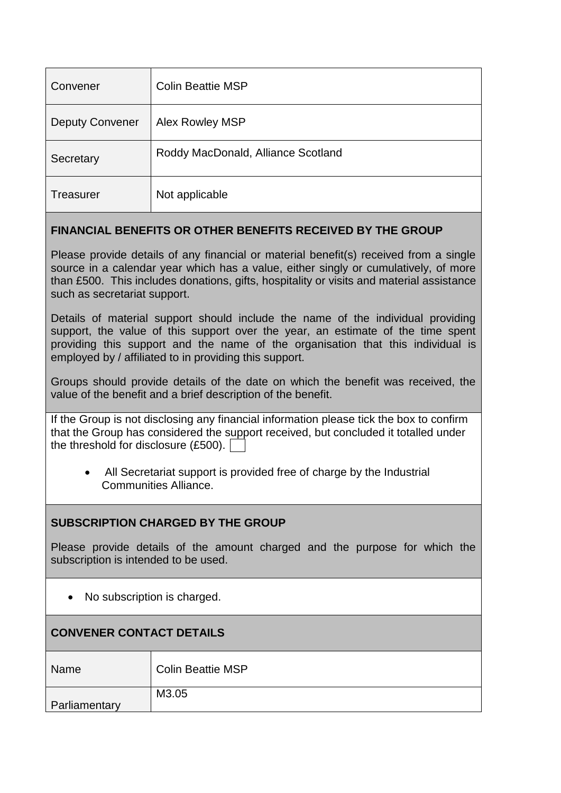| Convener               | <b>Colin Beattie MSP</b>           |
|------------------------|------------------------------------|
| <b>Deputy Convener</b> | Alex Rowley MSP                    |
| Secretary              | Roddy MacDonald, Alliance Scotland |
| Treasurer              | Not applicable                     |

## **FINANCIAL BENEFITS OR OTHER BENEFITS RECEIVED BY THE GROUP**

Please provide details of any financial or material benefit(s) received from a single source in a calendar year which has a value, either singly or cumulatively, of more than £500. This includes donations, gifts, hospitality or visits and material assistance such as secretariat support.

Details of material support should include the name of the individual providing support, the value of this support over the year, an estimate of the time spent providing this support and the name of the organisation that this individual is employed by / affiliated to in providing this support.

Groups should provide details of the date on which the benefit was received, the value of the benefit and a brief description of the benefit.

If the Group is not disclosing any financial information please tick the box to confirm that the Group has considered the support received, but concluded it totalled under the threshold for disclosure (£500).

• All Secretariat support is provided free of charge by the Industrial Communities Alliance.

### **SUBSCRIPTION CHARGED BY THE GROUP**

Please provide details of the amount charged and the purpose for which the subscription is intended to be used.

• No subscription is charged.

| <b>CONVENER CONTACT DETAILS</b> |                          |  |
|---------------------------------|--------------------------|--|
| Name                            | <b>Colin Beattie MSP</b> |  |
| Parliamentary                   | M3.05                    |  |